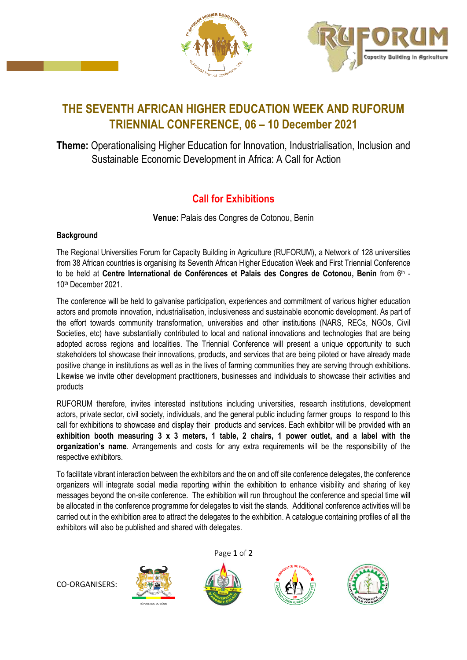



## **THE SEVENTH AFRICAN HIGHER EDUCATION WEEK AND RUFORUM TRIENNIAL CONFERENCE, 06 – 10 December 2021**

**Theme:** Operationalising Higher Education for Innovation, Industrialisation, Inclusion and Sustainable Economic Development in Africa: A Call for Action

## **Call for Exhibitions**

**Venue:** Palais des Congres de Cotonou, Benin

## **Background**

The Regional Universities Forum for Capacity Building in Agriculture (RUFORUM), a Network of 128 universities from 38 African countries is organising its Seventh African Higher Education Week and First Triennial Conference to be held at **Centre International de Conférences et Palais des Congres de Cotonou, Benin** from 6<sup>th</sup> -10th December 2021.

The conference will be held to galvanise participation, experiences and commitment of various higher education actors and promote innovation, industrialisation, inclusiveness and sustainable economic development. As part of the effort towards community transformation, universities and other institutions (NARS, RECs, NGOs, Civil Societies, etc) have substantially contributed to local and national innovations and technologies that are being adopted across regions and localities. The Triennial Conference will present a unique opportunity to such stakeholders tol showcase their innovations, products, and services that are being piloted or have already made positive change in institutions as well as in the lives of farming communities they are serving through exhibitions. Likewise we invite other development practitioners, businesses and individuals to showcase their activities and products

RUFORUM therefore, invites interested institutions including universities, research institutions, development actors, private sector, civil society, individuals, and the general public including farmer groups to respond to this call for exhibitions to showcase and display their products and services. Each exhibitor will be provided with an **exhibition booth measuring 3 x 3 meters, 1 table, 2 chairs, 1 power outlet, and a label with the organization's name**. Arrangements and costs for any extra requirements will be the responsibility of the respective exhibitors.

To facilitate vibrant interaction between the exhibitors and the on and off site conference delegates, the conference organizers will integrate social media reporting within the exhibition to enhance visibility and sharing of key messages beyond the on-site conference. The exhibition will run throughout the conference and special time will be allocated in the conference programme for delegates to visit the stands. Additional conference activities will be carried out in the exhibition area to attract the delegates to the exhibition. A catalogue containing profiles of all the exhibitors will also be published and shared with delegates.

Page 1 of 2



RÉPUBLIQUE DU BÉNIN





CO-ORGANISERS: